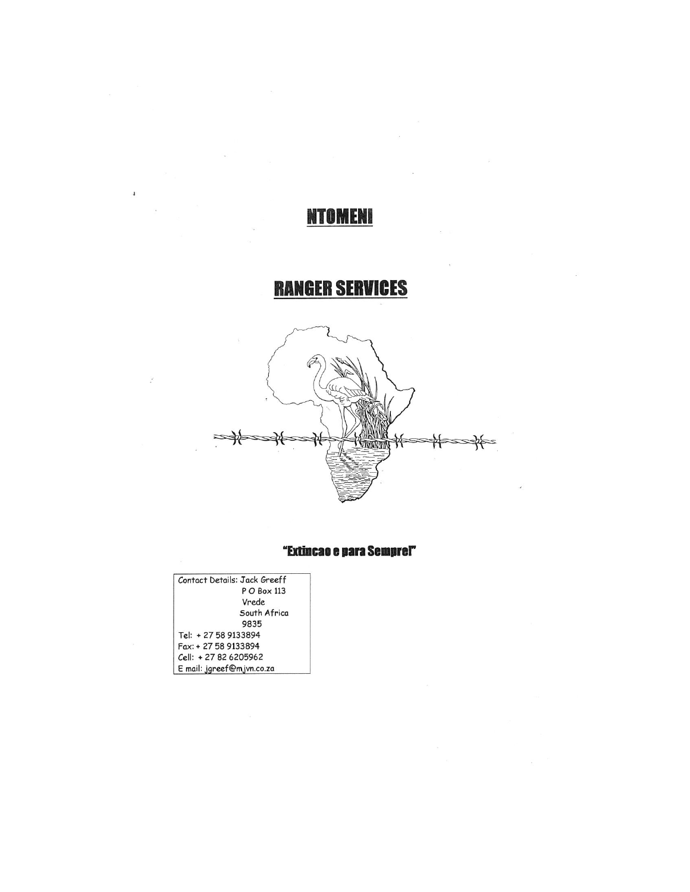# **NTOMENI**

# **RANGER SERVICES**



## "Extincao e para Semprel"

| Contact Details: Jack Greeff |
|------------------------------|
| P O Box 113                  |
| Vrede                        |
| South Africa                 |
| 9835                         |
| Tel: + 27 58 9133894         |
| Fax: + 27 58 9133894         |
| Cell: +27 82 6205962         |
| E mail: jgreef@mjvn.co.za    |

 $\overline{1}$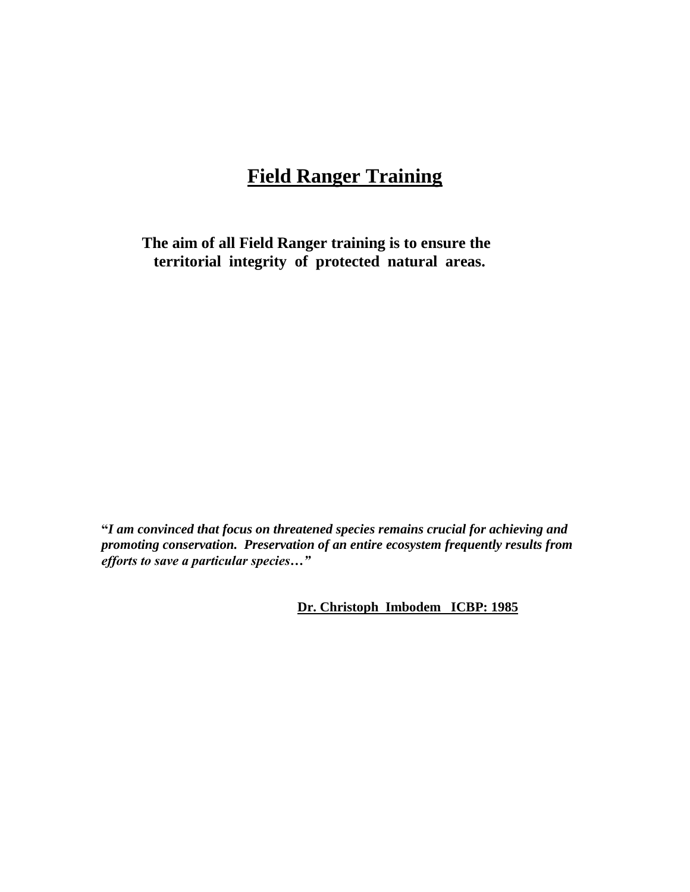# **Field Ranger Training**

**The aim of all Field Ranger training is to ensure the territorial integrity of protected natural areas.**

**"***I am convinced that focus on threatened species remains crucial for achieving and promoting conservation. Preservation of an entire ecosystem frequently results from efforts to save a particular species…"*

 **Dr. Christoph Imbodem ICBP: 1985**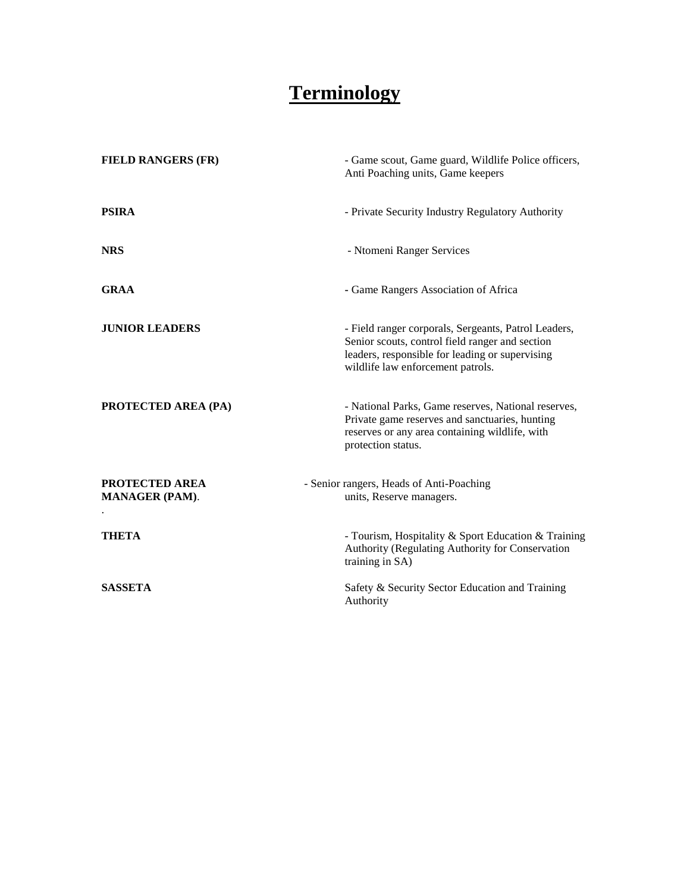# **Terminology**

| <b>FIELD RANGERS (FR)</b>                      | - Game scout, Game guard, Wildlife Police officers,<br>Anti Poaching units, Game keepers                                                                                                        |
|------------------------------------------------|-------------------------------------------------------------------------------------------------------------------------------------------------------------------------------------------------|
| <b>PSIRA</b>                                   | - Private Security Industry Regulatory Authority                                                                                                                                                |
| <b>NRS</b>                                     | - Ntomeni Ranger Services                                                                                                                                                                       |
| <b>GRAA</b>                                    | - Game Rangers Association of Africa                                                                                                                                                            |
| <b>JUNIOR LEADERS</b>                          | - Field ranger corporals, Sergeants, Patrol Leaders,<br>Senior scouts, control field ranger and section<br>leaders, responsible for leading or supervising<br>wildlife law enforcement patrols. |
| PROTECTED AREA (PA)                            | - National Parks, Game reserves, National reserves,<br>Private game reserves and sanctuaries, hunting<br>reserves or any area containing wildlife, with<br>protection status.                   |
| <b>PROTECTED AREA</b><br><b>MANAGER (PAM).</b> | - Senior rangers, Heads of Anti-Poaching<br>units, Reserve managers.                                                                                                                            |
| <b>THETA</b>                                   | - Tourism, Hospitality & Sport Education & Training<br>Authority (Regulating Authority for Conservation<br>training in SA)                                                                      |
| <b>SASSETA</b>                                 | Safety & Security Sector Education and Training<br>Authority                                                                                                                                    |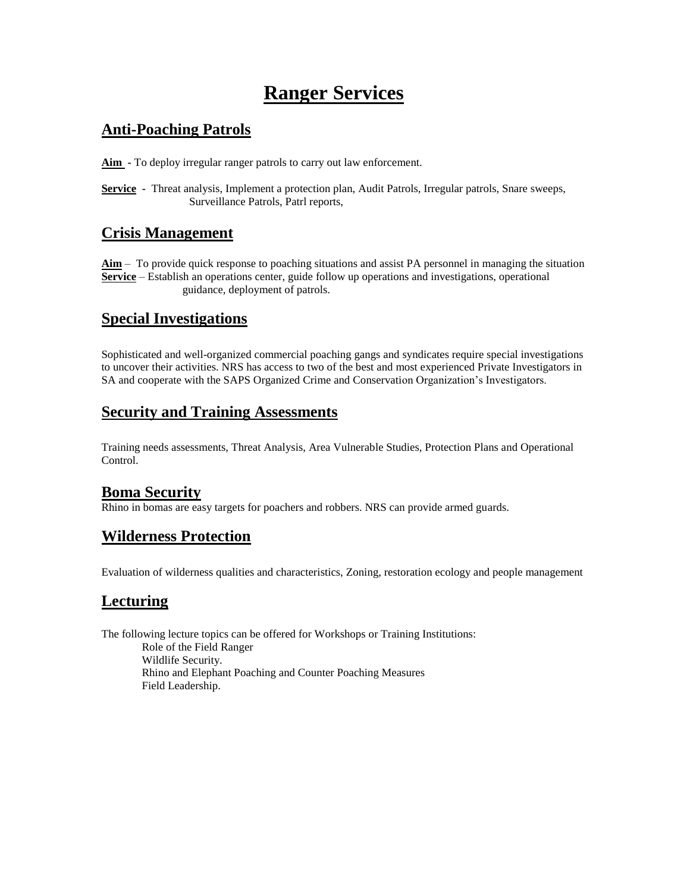# **Ranger Services**

# **Anti-Poaching Patrols**

**Aim -** To deploy irregular ranger patrols to carry out law enforcement.

**Service -** Threat analysis, Implement a protection plan, Audit Patrols, Irregular patrols, Snare sweeps, Surveillance Patrols, Patrl reports,

# **Crisis Management**

**Aim** – To provide quick response to poaching situations and assist PA personnel in managing the situation **Service** – Establish an operations center, guide follow up operations and investigations, operational guidance, deployment of patrols.

# **Special Investigations**

Sophisticated and well-organized commercial poaching gangs and syndicates require special investigations to uncover their activities. NRS has access to two of the best and most experienced Private Investigators in SA and cooperate with the SAPS Organized Crime and Conservation Organization's Investigators.

## **Security and Training Assessments**

Training needs assessments, Threat Analysis, Area Vulnerable Studies, Protection Plans and Operational Control.

# **Boma Security**

Rhino in bomas are easy targets for poachers and robbers. NRS can provide armed guards.

# **Wilderness Protection**

Evaluation of wilderness qualities and characteristics, Zoning, restoration ecology and people management

# **Lecturing**

The following lecture topics can be offered for Workshops or Training Institutions: Role of the Field Ranger Wildlife Security. Rhino and Elephant Poaching and Counter Poaching Measures Field Leadership.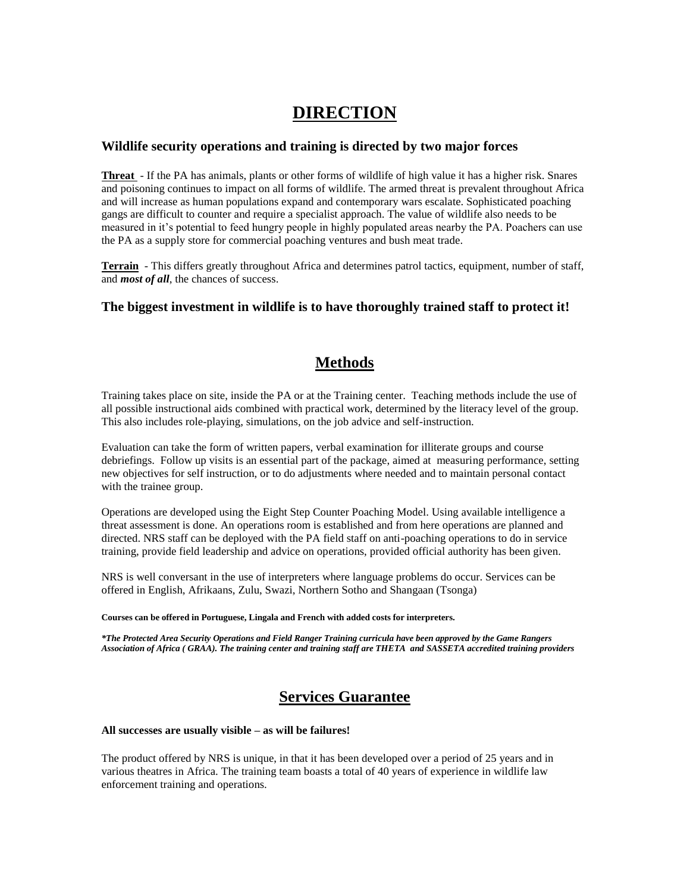# **DIRECTION**

### **Wildlife security operations and training is directed by two major forces**

**Threat** - If the PA has animals, plants or other forms of wildlife of high value it has a higher risk. Snares and poisoning continues to impact on all forms of wildlife. The armed threat is prevalent throughout Africa and will increase as human populations expand and contemporary wars escalate. Sophisticated poaching gangs are difficult to counter and require a specialist approach. The value of wildlife also needs to be measured in it's potential to feed hungry people in highly populated areas nearby the PA. Poachers can use the PA as a supply store for commercial poaching ventures and bush meat trade.

**Terrain** - This differs greatly throughout Africa and determines patrol tactics, equipment, number of staff, and *most of all*, the chances of success.

### **The biggest investment in wildlife is to have thoroughly trained staff to protect it!**

## **Methods**

Training takes place on site, inside the PA or at the Training center. Teaching methods include the use of all possible instructional aids combined with practical work, determined by the literacy level of the group. This also includes role-playing, simulations, on the job advice and self-instruction.

Evaluation can take the form of written papers, verbal examination for illiterate groups and course debriefings. Follow up visits is an essential part of the package, aimed at measuring performance, setting new objectives for self instruction, or to do adjustments where needed and to maintain personal contact with the trainee group.

Operations are developed using the Eight Step Counter Poaching Model. Using available intelligence a threat assessment is done. An operations room is established and from here operations are planned and directed. NRS staff can be deployed with the PA field staff on anti-poaching operations to do in service training, provide field leadership and advice on operations, provided official authority has been given.

NRS is well conversant in the use of interpreters where language problems do occur. Services can be offered in English, Afrikaans, Zulu, Swazi, Northern Sotho and Shangaan (Tsonga)

#### **Courses can be offered in Portuguese, Lingala and French with added costs for interpreters.**

*\*The Protected Area Security Operations and Field Ranger Training curricula have been approved by the Game Rangers Association of Africa ( GRAA). The training center and training staff are THETA and SASSETA accredited training providers*

# **Services Guarantee**

### **All successes are usually visible – as will be failures!**

The product offered by NRS is unique, in that it has been developed over a period of 25 years and in various theatres in Africa. The training team boasts a total of 40 years of experience in wildlife law enforcement training and operations.